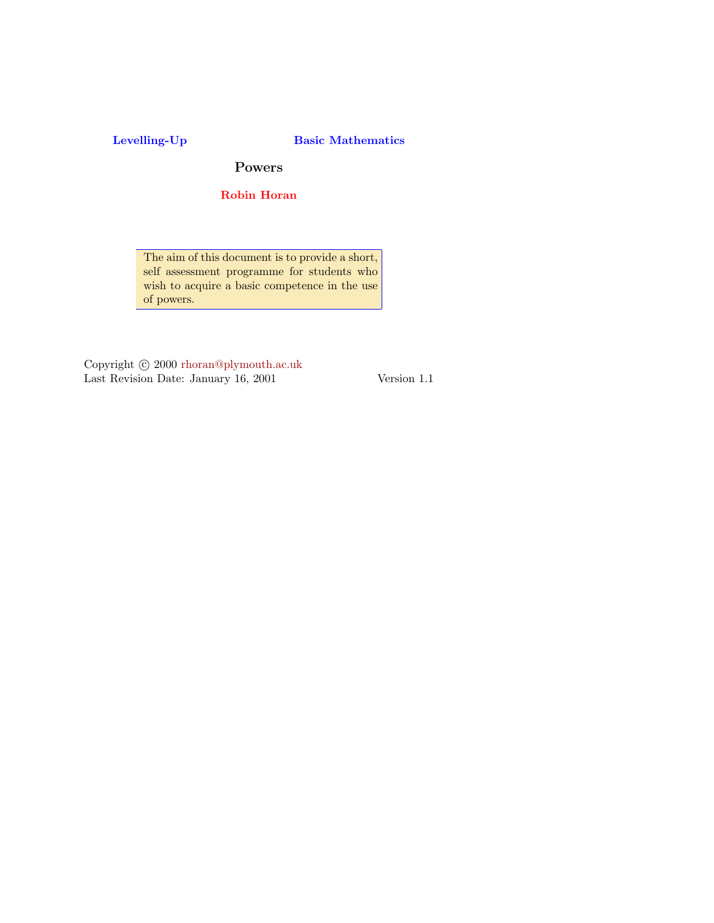### Levelling-Up Basic Mathematics

Powers

Robin Horan

[The aim of this doc](mailto:rhoran@plymouth.ac.uk)ument is to provide a short, self assessment programme for students who wish to acquire a basic competence in the use of powers.

Copyright  $\odot$  2000 rhoran@plymouth.ac.uk Last Revision Date: January 16, 2001 Version 1.1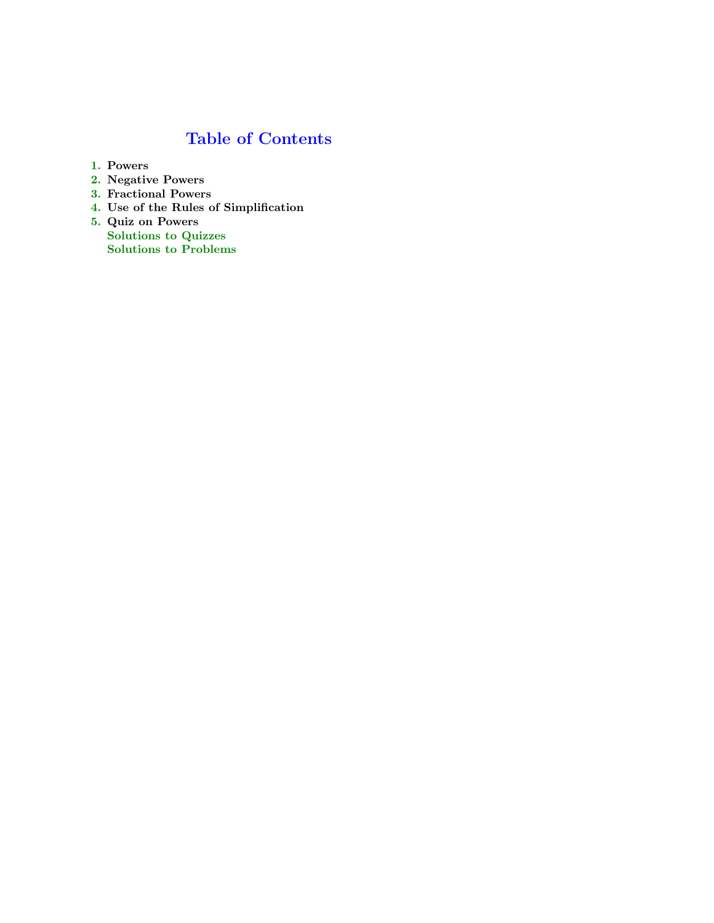# Table of Contents

- 1. Powers
- 2. Negative Powers
- 3. Fractional Powers
- 4. Use of the Rules of Simplification
- 5. Quiz on Powers Solutions to Quizzes Solutions to Problems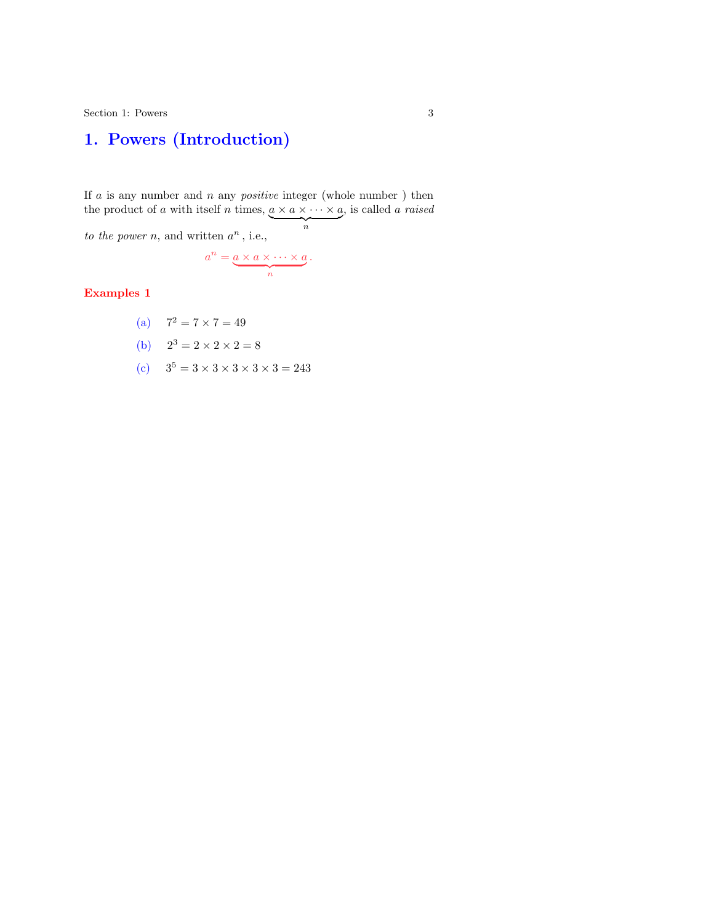## 1. Powers (Introduction)

If a is any number and n any *positive* integer (whole number) then the product of a with itself n times,  $a \times a \times \cdots \times a$ , is called a raised  $\frac{1}{n}$ n to the power n, and written  $a^n$ , i.e.,

$$
a^n = \underbrace{a \times a \times \cdots \times a}_{n}.
$$

Examples 1

(a) 
$$
7^2 = 7 \times 7 = 49
$$
  
\n(b)  $2^3 = 2 \times 2 \times 2 = 8$   
\n(c)  $3^5 = 3 \times 3 \times 3 \times 3 \times 3 = 243$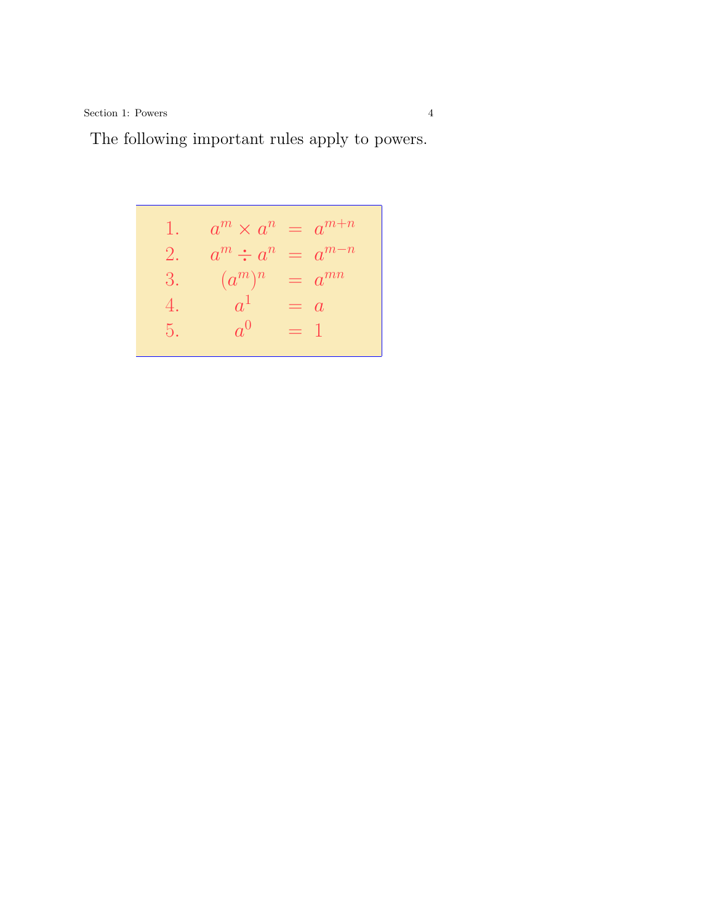Section 1: Powers 4

## The following important rules apply to powers.

1. 
$$
a^m \times a^n = a^{m+n}
$$
  
\n2.  $a^m \div a^n = a^{m-n}$   
\n3.  $(a^m)^n = a^{mn}$   
\n4.  $a^1 = a$   
\n5.  $a^0 = 1$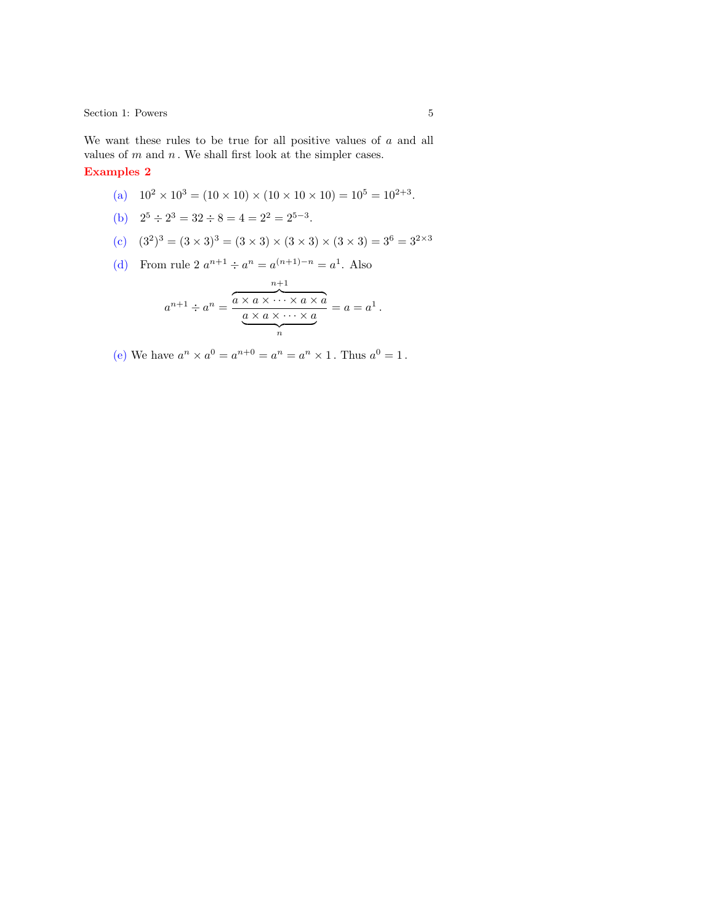Section 1: Powers 5

We want these rules to be true for all positive values of  $a$  and all values of  $m$  and  $n$ . We shall first look at the simpler cases.

#### Examples 2

\n- (a) 
$$
10^2 \times 10^3 = (10 \times 10) \times (10 \times 10 \times 10) = 10^5 = 10^{2+3}
$$
.
\n- (b)  $2^5 \div 2^3 = 32 \div 8 = 4 = 2^2 = 2^{5-3}$ .
\n- (c)  $(3^2)^3 = (3 \times 3)^3 = (3 \times 3) \times (3 \times 3) \times (3 \times 3) = 3^6 = 3^{2 \times 3}$
\n- (d) From rule  $2 \ a^{n+1} \div a^n = a^{(n+1)-n} = a^1$ . Also
\n

$$
a^{n+1} \div a^n = \frac{\overbrace{a \times a \times \cdots \times a \times a}^{n+1}}{\underbrace{a \times a \times \cdots \times a}_{n}} = a = a^1.
$$

(e) We have  $a^n \times a^0 = a^{n+0} = a^n = a^n \times 1$ . Thus  $a^0 = 1$ .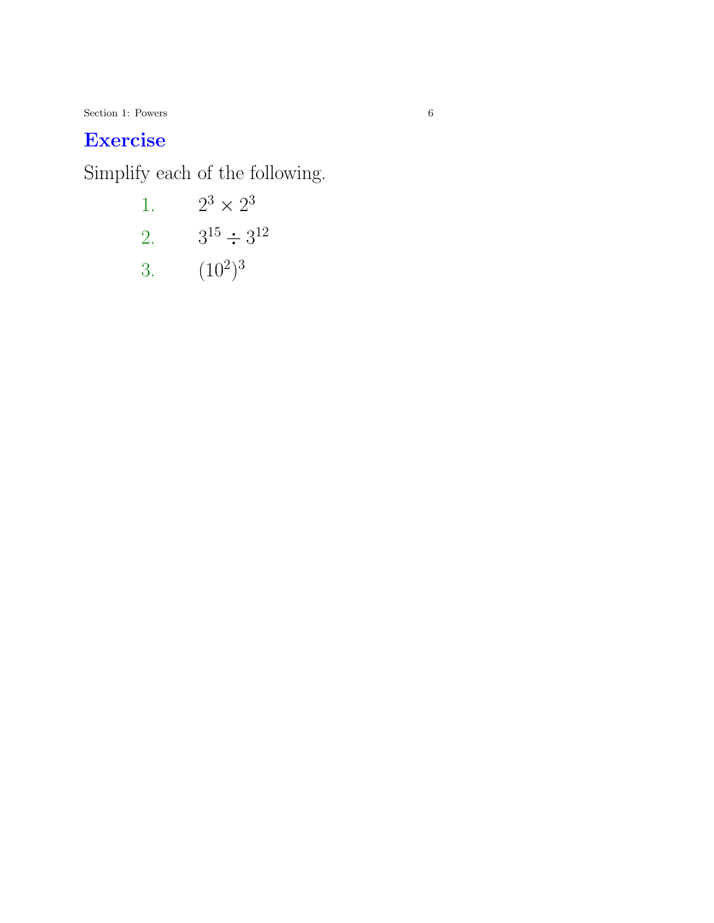$6$  [Sec](#page-13-0)tion 1: Powers  $6$ 

# [Ex](#page-14-0)ercise

[Si](#page-15-0)mplify each of the following.

- 1.  $2^3 \times 2^3$
- 2.  $3^{15} \div 3^{12}$
- 3.  $(10^2)^3$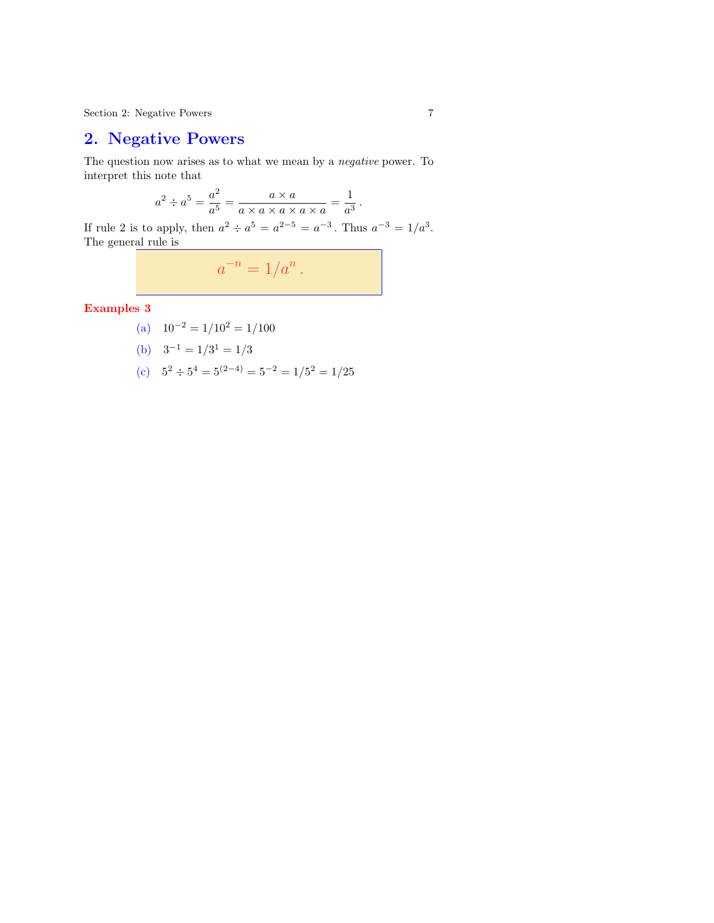Section 2: Negative Powers 7

### 2. Negative Powers

The question now arises as to what we mean by a negative power. To interpret this note that

$$
a^2 \div a^5 = \frac{a^2}{a^5} = \frac{a \times a}{a \times a \times a \times a \times a} = \frac{1}{a^3}.
$$

If rule 2 is to apply, then  $a^2 \div a^5 = a^{2-5} = a^{-3}$ . Thus  $a^{-3} = 1/a^3$ . The general rule is

$$
a^{-n} = 1/a^n.
$$

Examples 3

\n- (a) 
$$
10^{-2} = 1/10^2 = 1/100
$$
\n- (b)  $3^{-1} = 1/3^1 = 1/3$
\n- (c)  $5^2 \div 5^4 = 5^{(2-4)} = 5^{-2} = 1/5^2 = 1/25$
\n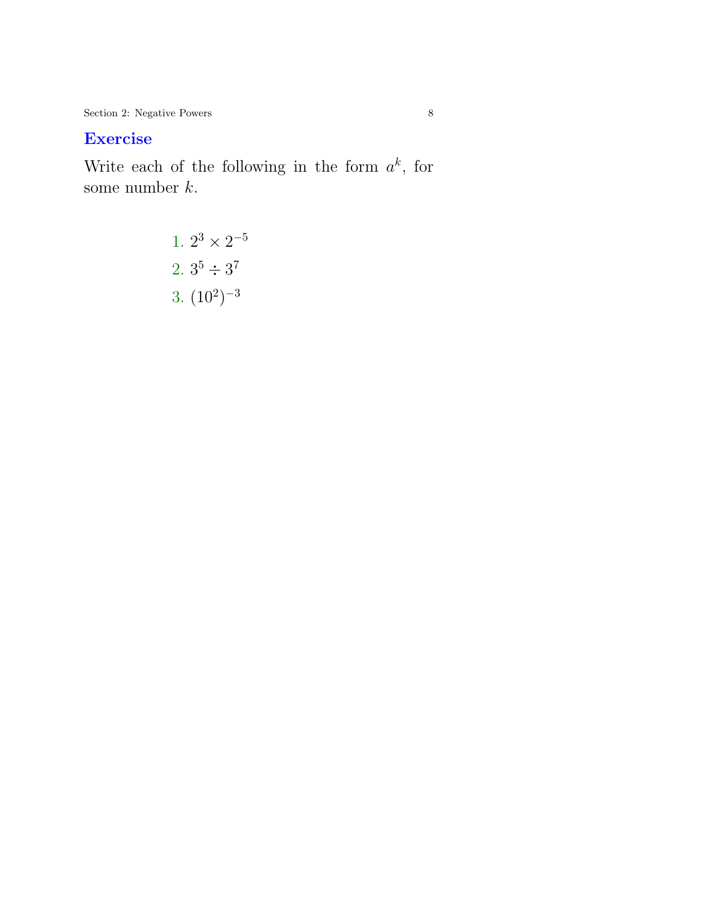Section 2: Negative Powers 8

# E[xerc](#page-16-0)ise

W[rite](#page-17-0) each of the following in the form  $a^k$ , for so[me n](#page-18-0)umber  $k$ .

1. 
$$
2^3 \times 2^{-5}
$$
  
2.  $3^5 \div 3^7$   
3.  $(10^2)^{-3}$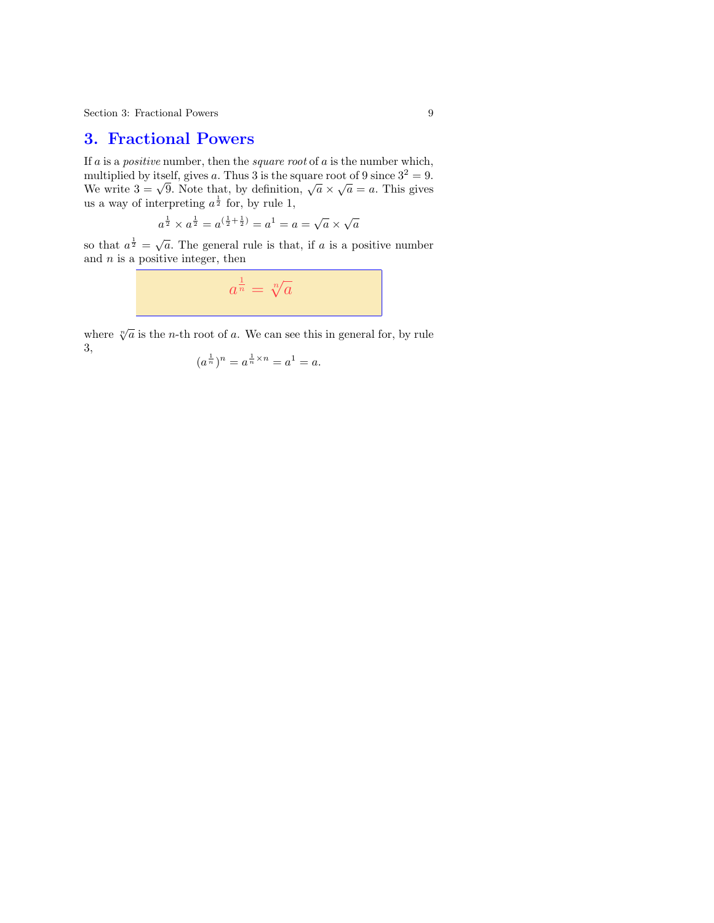### 3. Fractional Powers

If a is a *positive* number, then the *square root* of a is the number which, multiplied by itself, gives a. Thus 3 is the square root of 9 since  $3^2 = 9$ . multiplied by itself, gives a. Thus 3 is the square root of 9 since  $3^2 = 9$ .<br>We write  $3 = \sqrt{9}$ . Note that, by definition,  $\sqrt{a} \times \sqrt{a} = a$ . This gives us a way of interpreting  $a^{\frac{1}{2}}$  for, by rule 1,

$$
a^{\frac{1}{2}} \times a^{\frac{1}{2}} = a^{(\frac{1}{2} + \frac{1}{2})} = a^1 = a = \sqrt{a} \times \sqrt{a}
$$

so that  $a^{\frac{1}{2}} =$  $\overline{a}$ . The general rule is that, if  $a$  is a positive number and  $n$  is a positive integer, then

$$
a^{\frac{1}{n}} = \sqrt[n]{a}
$$

where  $\sqrt[n]{a}$  is the *n*-th root of a. We can see this in general for, by rule 3,

$$
(a^{\frac{1}{n}})^n = a^{\frac{1}{n} \times n} = a^1 = a.
$$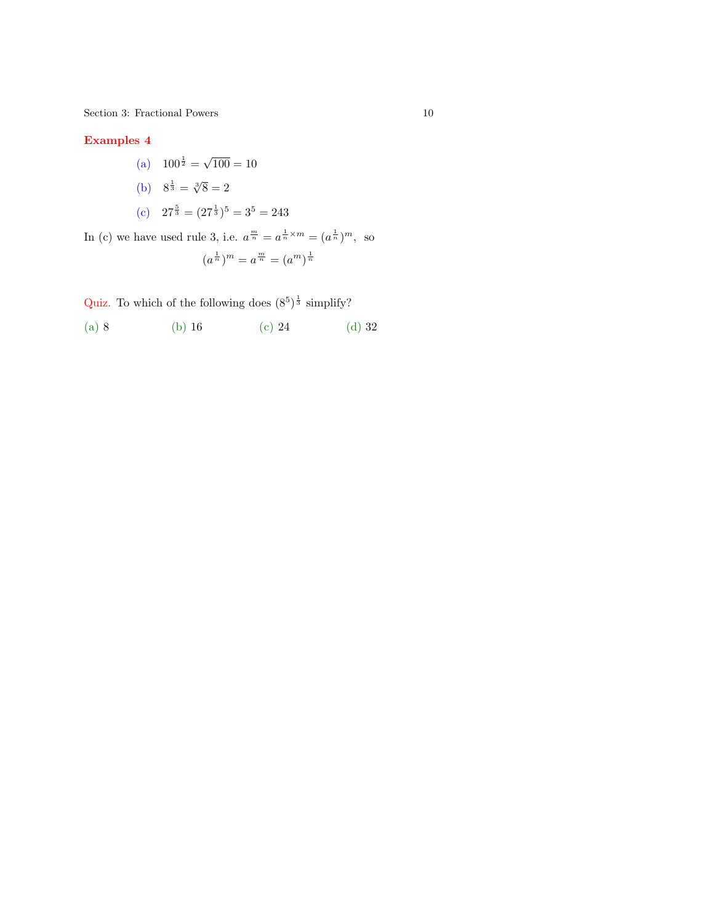$\begin{tabular}{ll} Section 3: Fractional Powers & \hspace{2.5cm} & \hspace{2.5cm} & \hspace{2.5cm} & \hspace{2.5cm} & \hspace{2.5cm} & \hspace{2.5cm} & \hspace{2.5cm} & \hspace{2.5cm} & \hspace{2.5cm} & \hspace{2.5cm} & \hspace{2.5cm} & \hspace{2.5cm} & \hspace{2.5cm} & \hspace{2.5cm} & \hspace{2.5cm} & \hspace{2.5cm} & \hspace{2.5cm} & \hspace{2.5cm} & \hspace{2.5cm} & \hspace{2.5cm} & \hspace{$ 

#### Examples 4

- (a)  $100^{\frac{1}{2}}$  =  $100 = 10$
- (b)  $8^{\frac{1}{3}} = \sqrt[3]{8} = 2$
- (c)  $27^{\frac{5}{3}} = (27^{\frac{1}{3}})^5 = 3^5 = 243$

In (c) we have used rule 3, i.e.  $a^{\frac{m}{n}} = a^{\frac{1}{n} \times m} = (a^{\frac{1}{n}})^m$ , so

$$
(a^{\frac{1}{n}})^m = a^{\frac{m}{n}} = (a^m)^{\frac{1}{n}}
$$

Quiz. To which of the following does  $(8^5)^{\frac{1}{3}}$  simplify?

(a) 8 (b) 16 (c) 24 (d) 32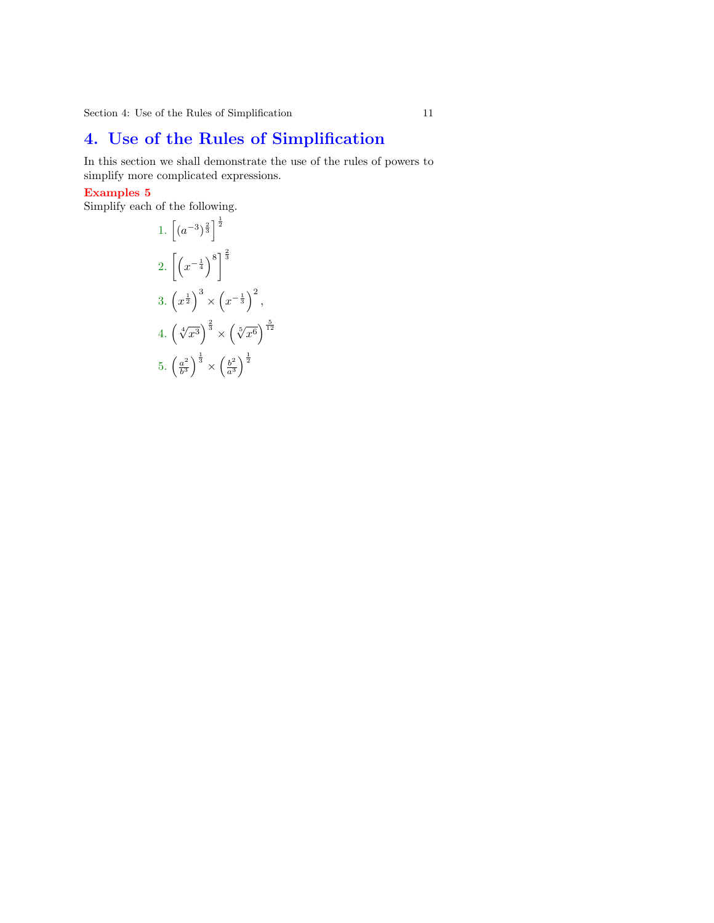Section 4: Use of the Rules of Simplification 11

## [4. U](#page-19-0)se of the Rules of Simplification

[In thi](#page-20-0)s section we shall demonstrate the use of the rules of powers to simplify more complicated expressions.

#### [Exam](#page-21-0)ples 5

Simplify each of the following.

1. 
$$
\left[ (a^{-3})^{\frac{2}{3}} \right]^{\frac{1}{2}}
$$
  
\n2.  $\left[ \left( x^{-\frac{1}{4}} \right)^8 \right]^{\frac{2}{3}}$   
\n3.  $\left( x^{\frac{1}{2}} \right)^3 \times \left( x^{-\frac{1}{3}} \right)^2$ ,  
\n4.  $\left( \sqrt[4]{x^3} \right)^{\frac{2}{3}} \times \left( \sqrt[5]{x^6} \right)^{\frac{5}{12}}$   
\n5.  $\left( \frac{a^2}{b^3} \right)^{\frac{1}{3}} \times \left( \frac{b^2}{a^3} \right)^{\frac{1}{2}}$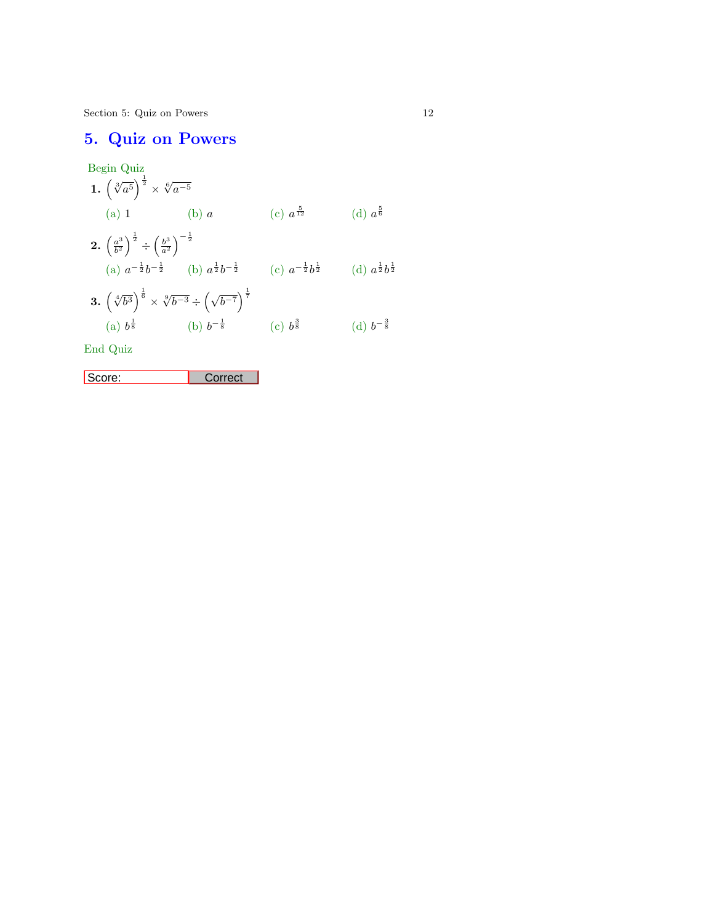Section 5: Quiz on Powers 12

# 5. Quiz on Powers

$$
\begin{array}{llll}\n\text{Begin Quiz} \\
1. & \left(\sqrt[3]{a^5}\right)^{\frac{1}{2}} \times \sqrt[6]{a^{-5}} \\
\text{(a) 1} & \text{(b) } a & \text{(c) } a^{\frac{5}{12}} \\
2. & \left(\frac{a^3}{b^2}\right)^{\frac{1}{2}} \div \left(\frac{b^3}{a^2}\right)^{-\frac{1}{2}} \\
\text{(a) } a^{-\frac{1}{2}}b^{-\frac{1}{2}} & \text{(b) } a^{\frac{1}{2}}b^{-\frac{1}{2}} & \text{(c) } a^{-\frac{1}{2}}b^{\frac{1}{2}} & \text{(d) } a^{\frac{1}{2}}b^{\frac{1}{2}} \\
3. & \left(\sqrt[4]{b^3}\right)^{\frac{1}{6}} \times \sqrt[9]{b^{-3}} \div \left(\sqrt{b^{-7}}\right)^{\frac{1}{7}} \\
\text{(a) } b^{\frac{1}{8}} & \text{(b) } b^{-\frac{1}{8}} & \text{(c) } b^{\frac{3}{8}} & \text{(d) } b^{-\frac{3}{8}}\n\end{array}
$$

End Quiz

Score: Correct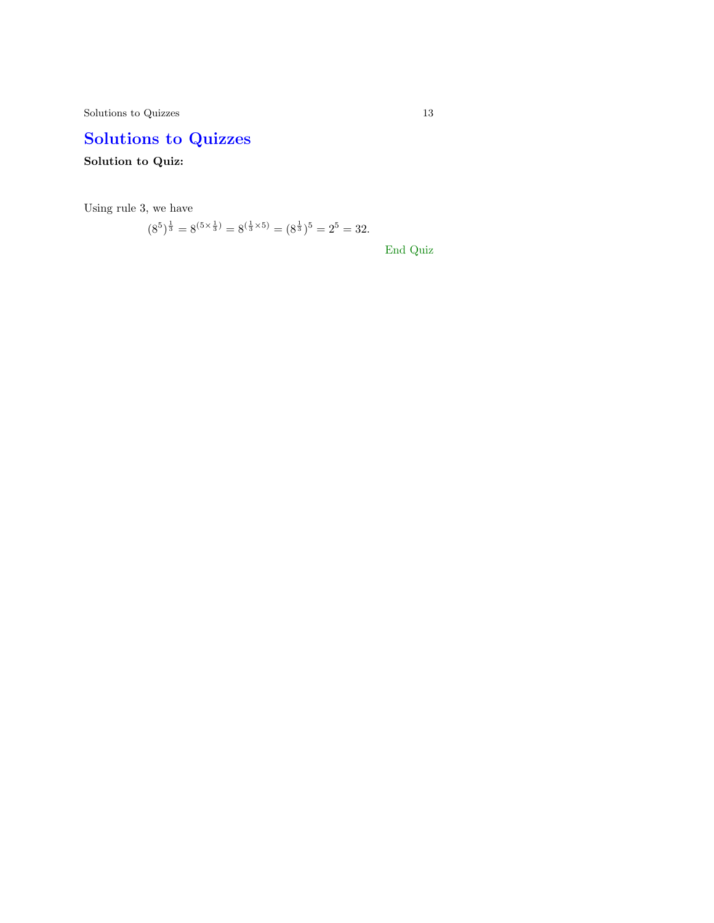$\begin{tabular}{c} Solutions to Quizes \end{tabular} \begin{tabular}{c} \textbf{13} \\ \textbf{24} \\ \textbf{35} \\ \textbf{46} \\ \textbf{57} \\ \textbf{68} \\ \textbf{78} \\ \textbf{89} \\ \textbf{100} \\ \textbf{113} \\ \textbf{120} \\ \textbf{131} \\ \textbf{141} \\ \textbf{151} \\ \textbf{161} \\ \textbf{181} \\ \textbf{191} \\ \textbf{192} \\ \textbf{193} \\ \textbf{103} \\ \textbf{108} \\ \textbf{113} \\ \textbf{$ 

# Solutions to Quizzes

Solution to Quiz:

Using rule 3, we have

 $(8^5)^{\frac{1}{3}} = 8^{(5 \times \frac{1}{3})} = 8^{(\frac{1}{3} \times 5)} = (8^{\frac{1}{3}})^5 = 2^5 = 32.$ 

End Quiz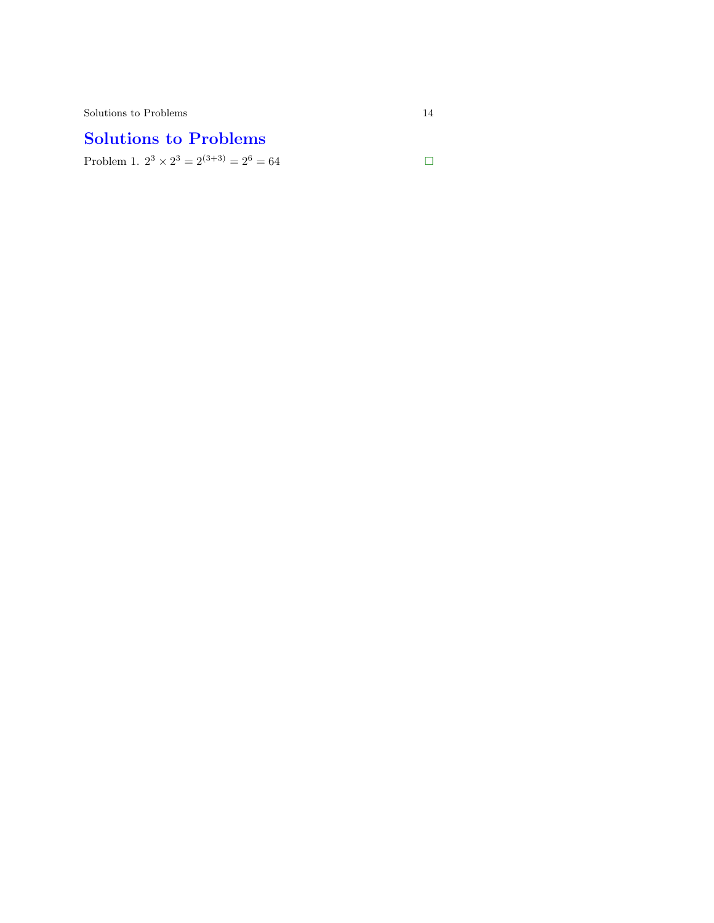# <span id="page-13-0"></span>Solutions to Problems

Problem 1.  $2^3 \times 2^3 = 2^{(3+3)} = 2^6 = 64$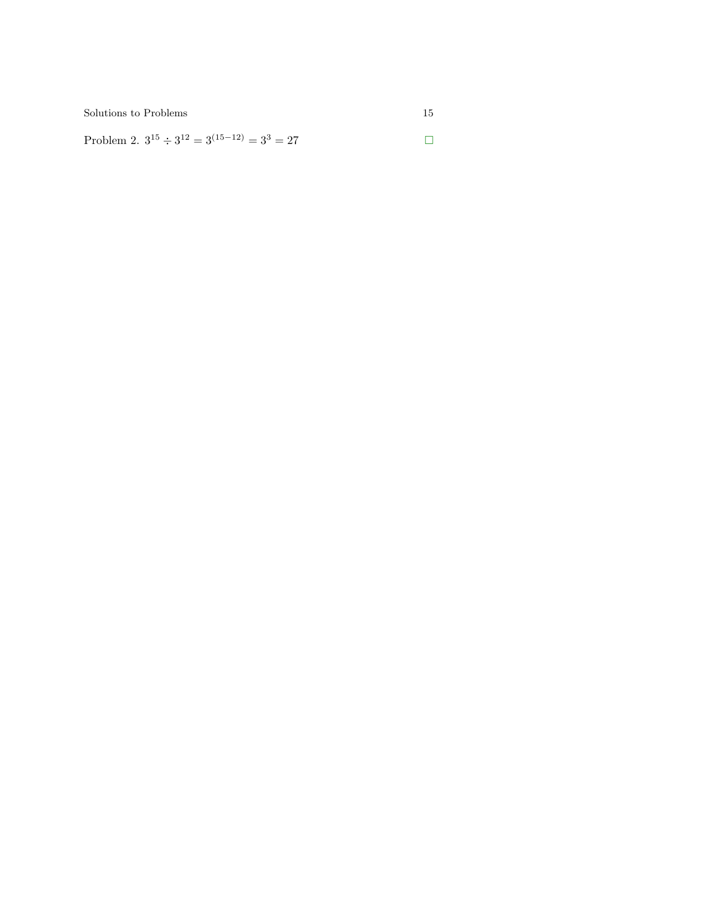<span id="page-14-0"></span>Problem 2.  $3^{15} \div 3^{12} = 3^{(15-12)} = 3^3 = 27$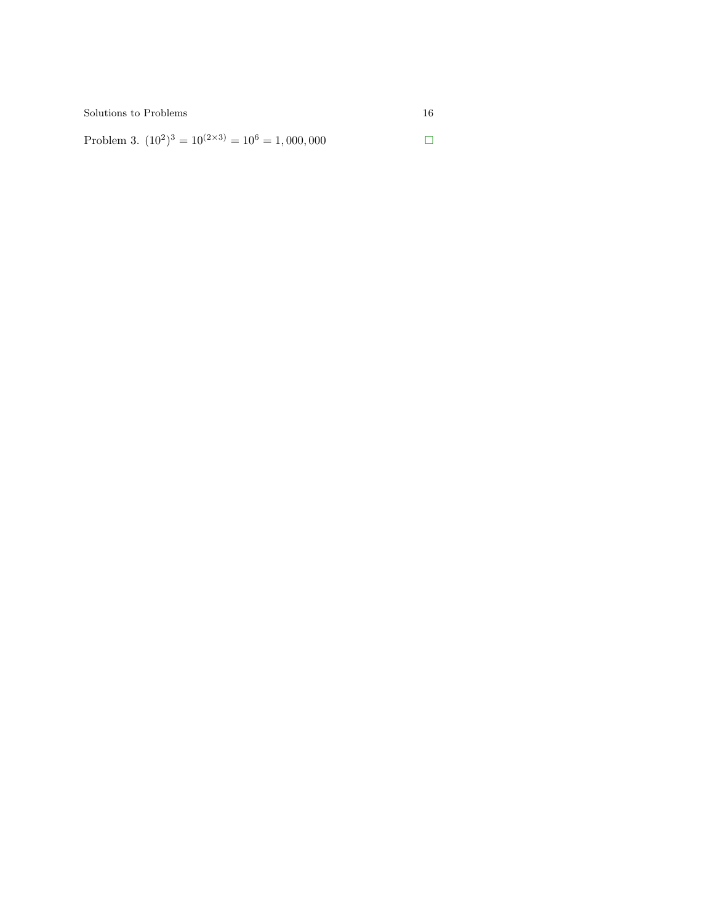<span id="page-15-0"></span>Problem 3.  $(10^2)^3 = 10^{(2 \times 3)} = 10^6 = 1,000,000$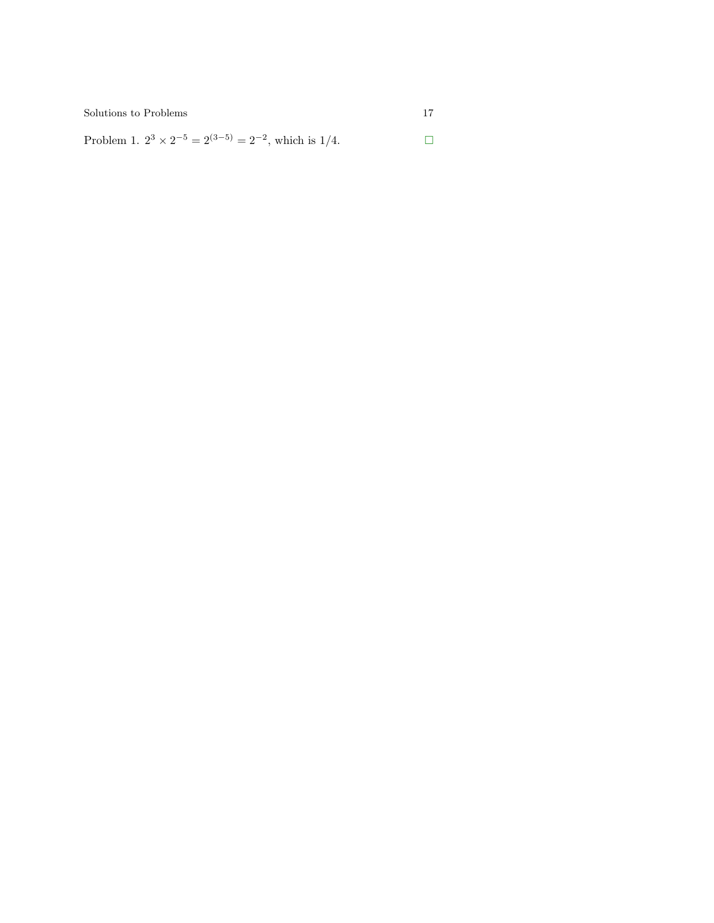<span id="page-16-0"></span>Problem 1.  $2^3 \times 2^{-5} = 2^{(3-5)} = 2^{-2}$ , which is 1/4. □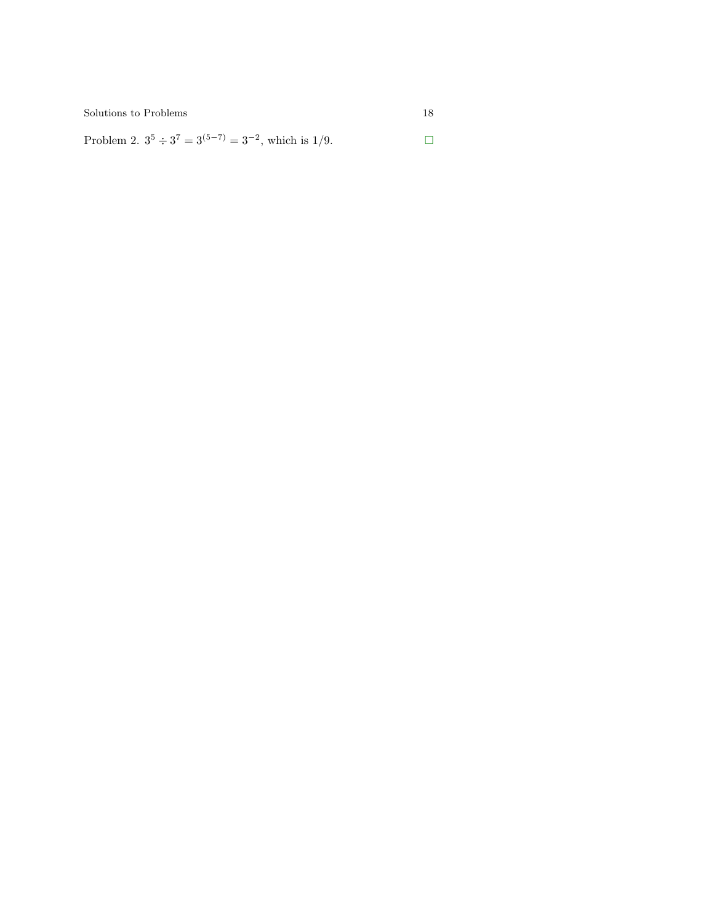<span id="page-17-0"></span>Problem 2.  $3^5 \div 3^7 = 3^{(5-7)} = 3^{-2}$ , which is 1/9. □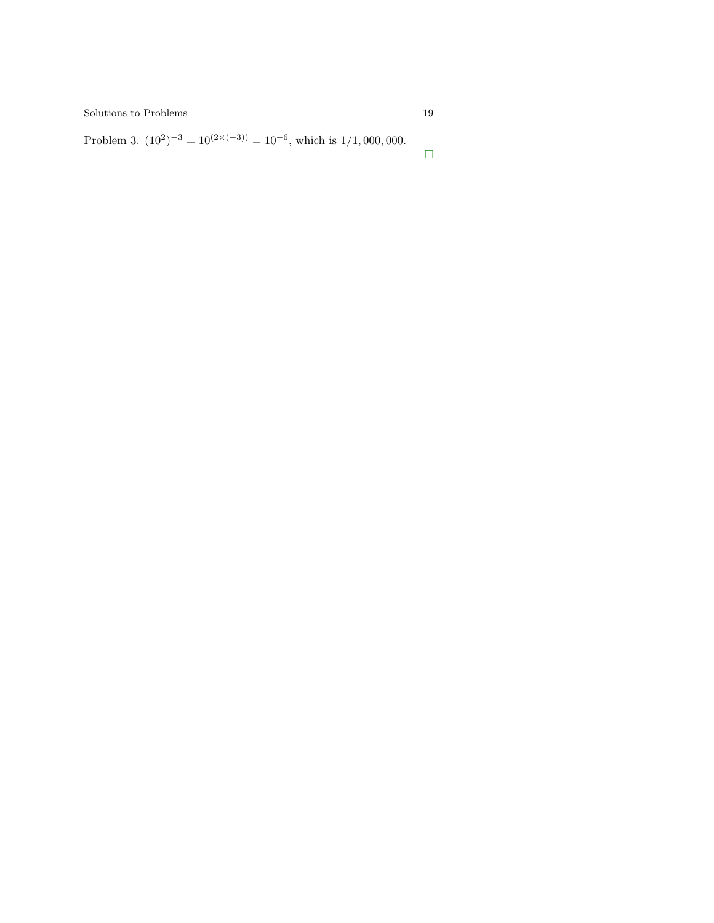<span id="page-18-0"></span>Problem 3.  $(10^2)^{-3} = 10^{(2 \times (-3))} = 10^{-6}$ , which is 1/1,000,000.

 $\Box$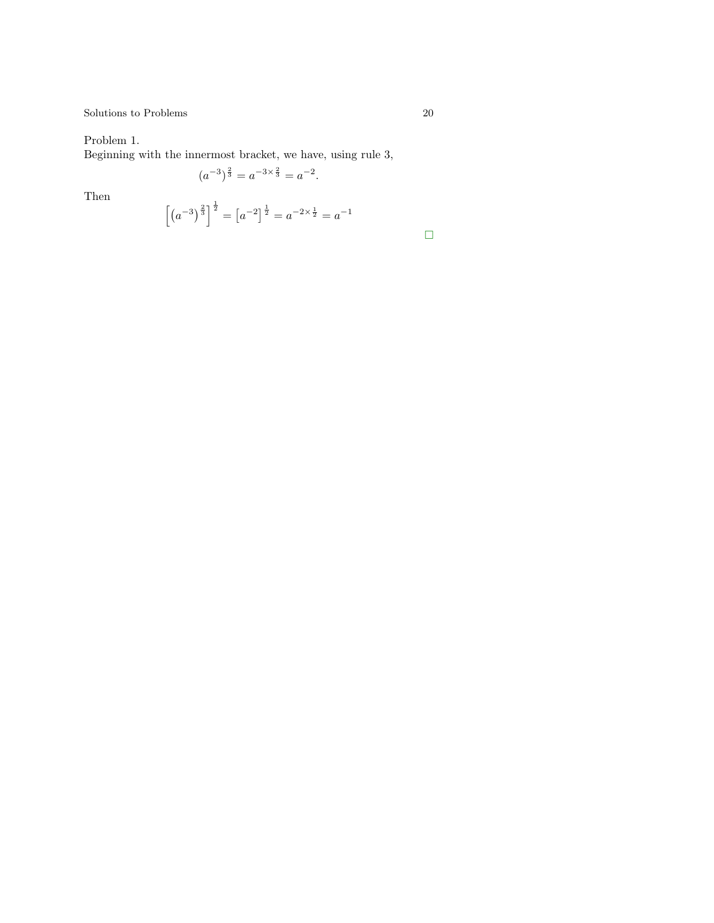<span id="page-19-0"></span>Problem 1.

Beginning with the innermost bracket, we have, using rule 3,

$$
(a^{-3})^{\frac{2}{3}} = a^{-3 \times \frac{2}{3}} = a^{-2}.
$$

Then

$$
\[ \left( a^{-3} \right)^{\frac{2}{3}} \]^{1/2} = \left[ a^{-2} \right]^{\frac{1}{2}} = a^{-2 \times \frac{1}{2}} = a^{-1}
$$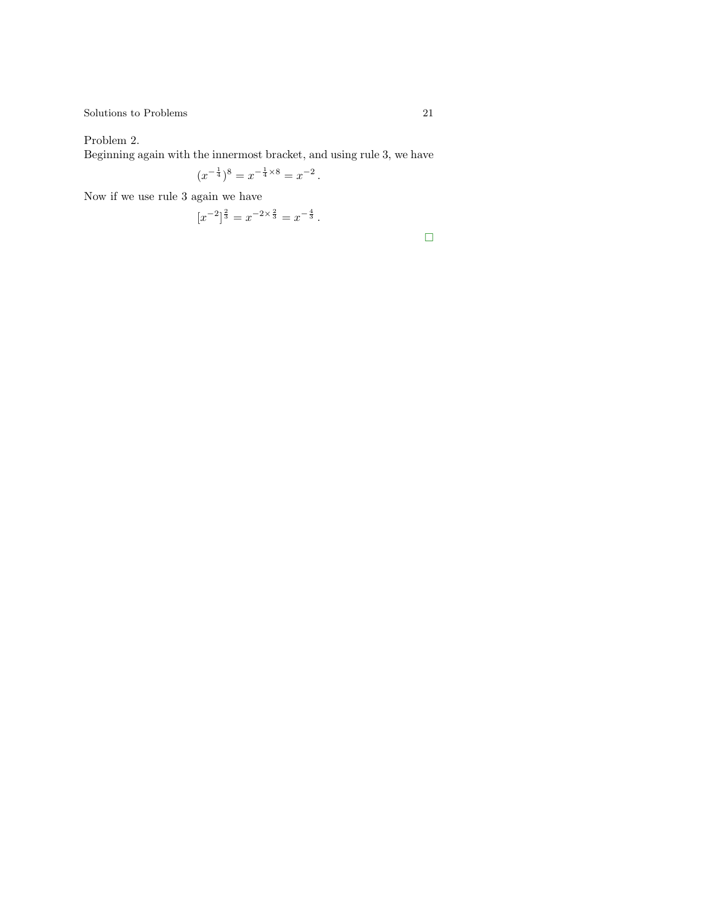<span id="page-20-0"></span>Problem 2.

Beginning again with the innermost bracket, and using rule 3, we have

$$
(x^{-\frac{1}{4}})^8 = x^{-\frac{1}{4} \times 8} = x^{-2}.
$$

Now if we use rule 3 again we have

$$
[x^{-2}]^{\frac{2}{3}} = x^{-2 \times \frac{2}{3}} = x^{-\frac{4}{3}}.
$$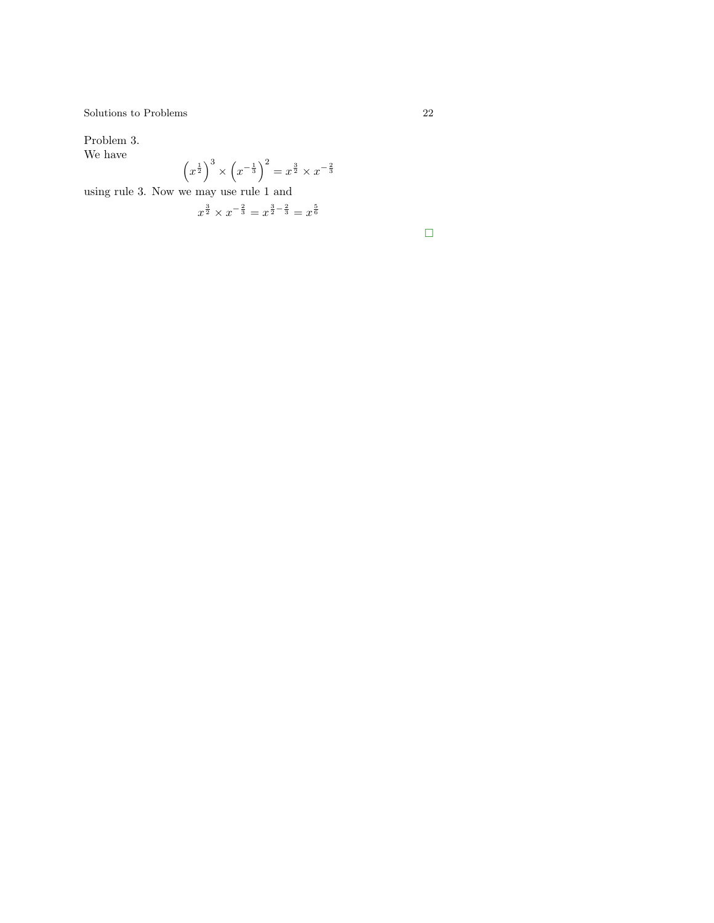<span id="page-21-0"></span>Problem 3. We have

$$
\left(x^{\frac{1}{2}}\right)^3 \times \left(x^{-\frac{1}{3}}\right)^2 = x^{\frac{3}{2}} \times x^{-\frac{2}{3}}
$$

using rule 3. Now we may use rule 1 and

$$
x^{\frac{3}{2}} \times x^{-\frac{2}{3}} = x^{\frac{3}{2} - \frac{2}{3}} = x^{\frac{5}{6}}
$$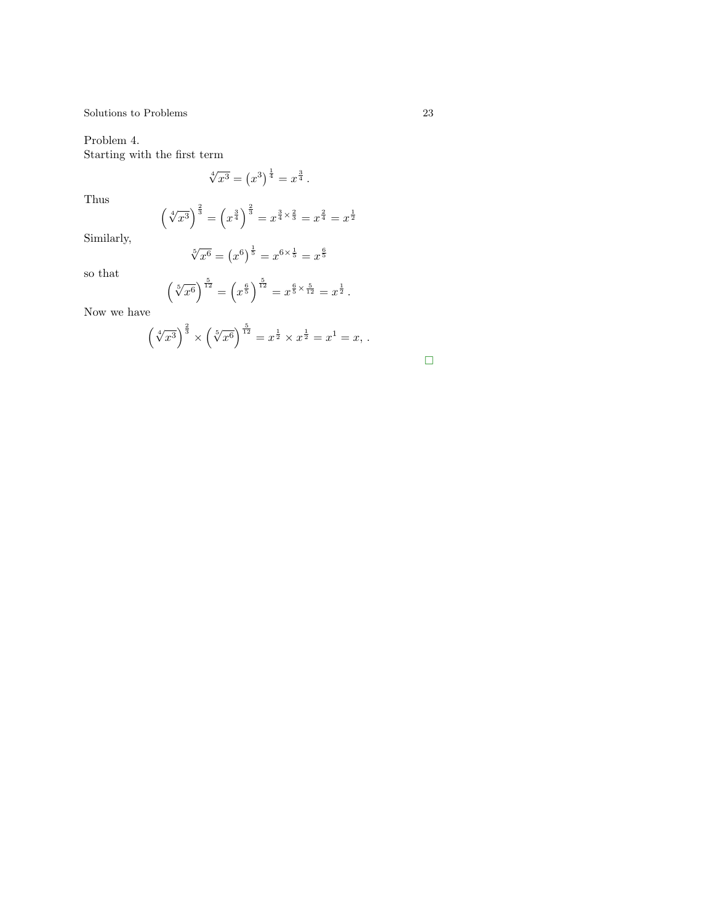Problem 4. Starting with the first term

 $\sqrt[4]{x^3} = (x^3)^{\frac{1}{4}} = x^{\frac{3}{4}}$ .

Thus

$$
\left(\sqrt[4]{x^3}\right)^{\frac{2}{3}} = \left(x^{\frac{3}{4}}\right)^{\frac{2}{3}} = x^{\frac{3}{4} \times \frac{2}{3}} = x^{\frac{2}{4}} = x^{\frac{1}{2}}
$$

Similarly,

$$
\sqrt[5]{x^6} = \left(x^6\right)^{\frac{1}{5}} = x^{6 \times \frac{1}{5}} = x^{\frac{6}{5}}
$$

so that

$$
\left(\sqrt[5]{x^6}\right)^{\frac{5}{12}} = \left(x^{\frac{6}{5}}\right)^{\frac{5}{12}} = x^{\frac{6}{5} \times \frac{5}{12}} = x^{\frac{1}{2}}.
$$

Now we have

$$
\left(\sqrt[4]{x^3}\right)^{\frac{2}{3}} \times \left(\sqrt[5]{x^6}\right)^{\frac{5}{12}} = x^{\frac{1}{2}} \times x^{\frac{1}{2}} = x^1 = x,
$$